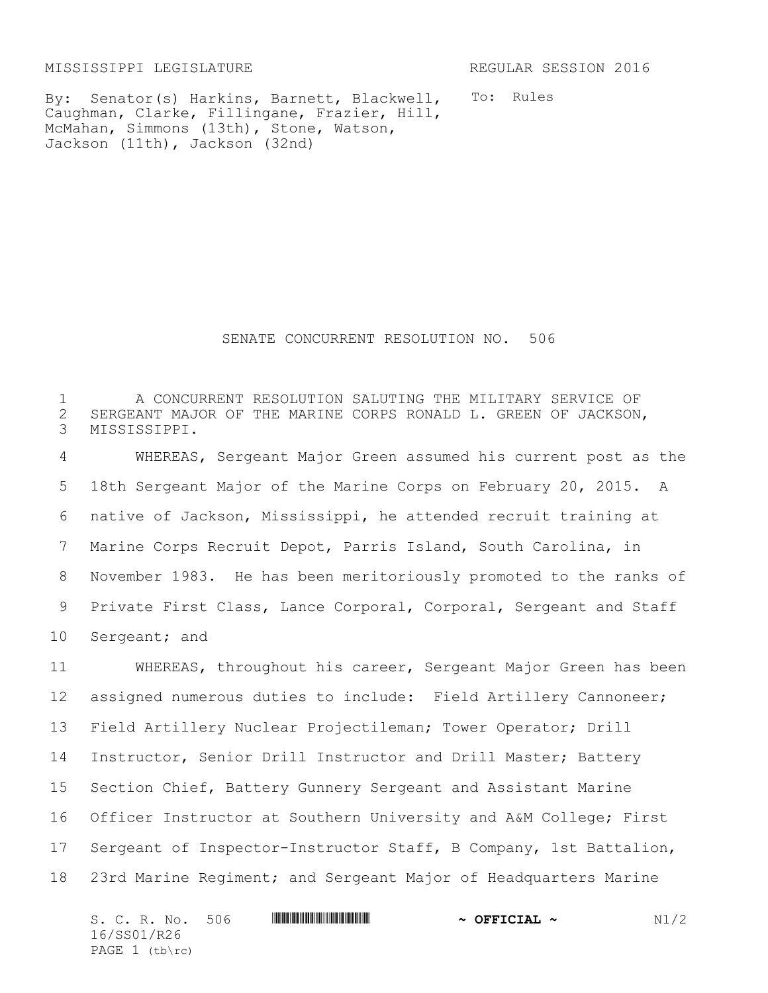MISSISSIPPI LEGISLATURE REGULAR SESSION 2016

By: Senator(s) Harkins, Barnett, Blackwell, Caughman, Clarke, Fillingane, Frazier, Hill, McMahan, Simmons (13th), Stone, Watson, Jackson (11th), Jackson (32nd)

To: Rules

SENATE CONCURRENT RESOLUTION NO. 506

1 A CONCURRENT RESOLUTION SALUTING THE MILITARY SERVICE OF 2 SERGEANT MAJOR OF THE MARINE CORPS RONALD L. GREEN OF JACKSON,<br>3 MISSISSIPPI. MISSISSIPPI.

 WHEREAS, Sergeant Major Green assumed his current post as the 18th Sergeant Major of the Marine Corps on February 20, 2015. A native of Jackson, Mississippi, he attended recruit training at Marine Corps Recruit Depot, Parris Island, South Carolina, in November 1983. He has been meritoriously promoted to the ranks of 9 Private First Class, Lance Corporal, Corporal, Sergeant and Staff Sergeant; and

 WHEREAS, throughout his career, Sergeant Major Green has been assigned numerous duties to include: Field Artillery Cannoneer; Field Artillery Nuclear Projectileman; Tower Operator; Drill Instructor, Senior Drill Instructor and Drill Master; Battery Section Chief, Battery Gunnery Sergeant and Assistant Marine Officer Instructor at Southern University and A&M College; First Sergeant of Inspector-Instructor Staff, B Company, 1st Battalion, 23rd Marine Regiment; and Sergeant Major of Headquarters Marine

| S. C. R. No. 506 |  | $\sim$ OFFICIAL $\sim$ | N1/2 |
|------------------|--|------------------------|------|
| 16/SS01/R26      |  |                        |      |
| PAGE 1 (tb\rc)   |  |                        |      |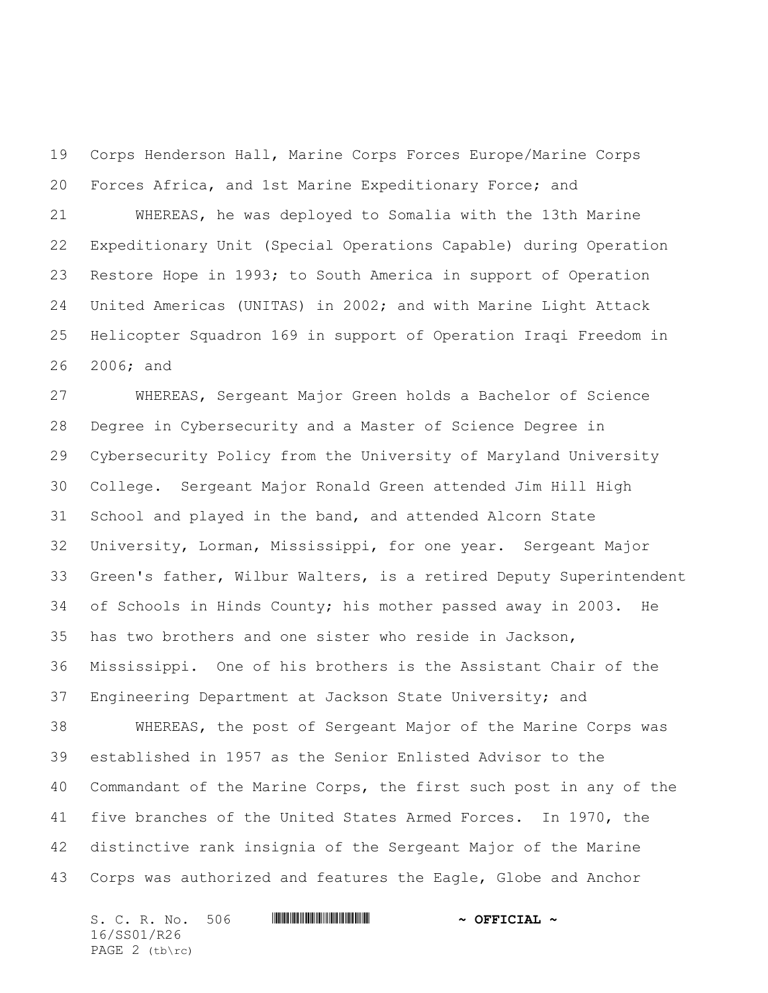Corps Henderson Hall, Marine Corps Forces Europe/Marine Corps Forces Africa, and 1st Marine Expeditionary Force; and

 WHEREAS, he was deployed to Somalia with the 13th Marine Expeditionary Unit (Special Operations Capable) during Operation Restore Hope in 1993; to South America in support of Operation United Americas (UNITAS) in 2002; and with Marine Light Attack Helicopter Squadron 169 in support of Operation Iraqi Freedom in 2006; and

 WHEREAS, Sergeant Major Green holds a Bachelor of Science Degree in Cybersecurity and a Master of Science Degree in Cybersecurity Policy from the University of Maryland University College. Sergeant Major Ronald Green attended Jim Hill High School and played in the band, and attended Alcorn State University, Lorman, Mississippi, for one year. Sergeant Major Green's father, Wilbur Walters, is a retired Deputy Superintendent of Schools in Hinds County; his mother passed away in 2003. He has two brothers and one sister who reside in Jackson, Mississippi. One of his brothers is the Assistant Chair of the Engineering Department at Jackson State University; and WHEREAS, the post of Sergeant Major of the Marine Corps was established in 1957 as the Senior Enlisted Advisor to the Commandant of the Marine Corps, the first such post in any of the five branches of the United States Armed Forces. In 1970, the distinctive rank insignia of the Sergeant Major of the Marine

Corps was authorized and features the Eagle, Globe and Anchor

S. C. R. No. 506 **WILLIAM WEIGHT THE REAL ~** OFFICIAL ~ 16/SS01/R26 PAGE 2 (tb\rc)